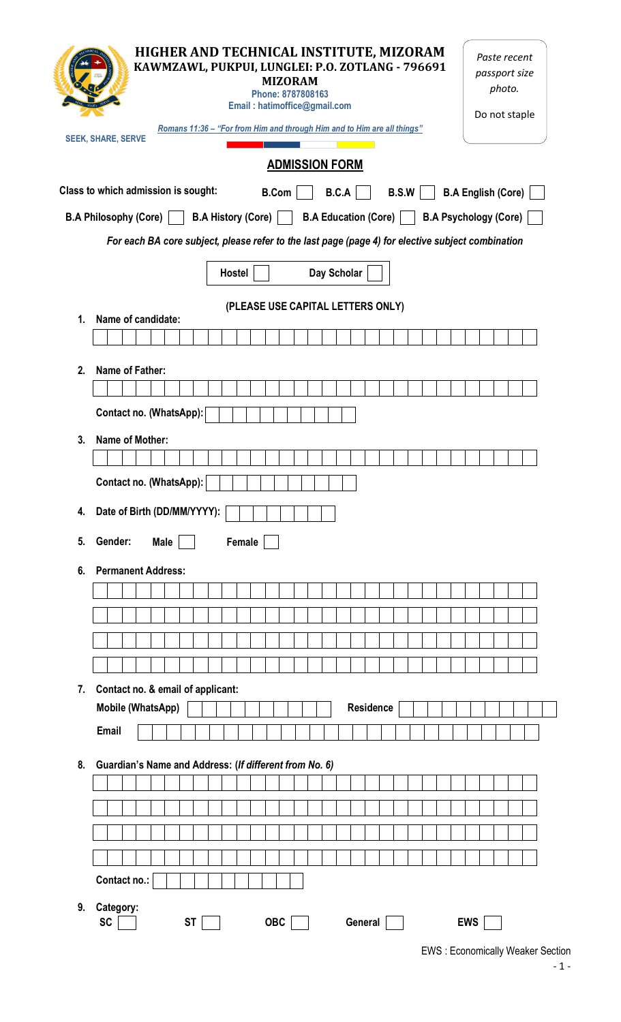|                                                                                                    | HIGHER AND TECHNICAL INSTITUTE, MIZORAM<br>KAWMZAWL, PUKPUI, LUNGLEI: P.O. ZOTLANG - 796691<br><b>MIZORAM</b><br>Phone: 8787808163<br>Email: hatimoffice@gmail.com<br>Romans 11:36 - "For from Him and through Him and to Him are all things"<br><b>SEEK, SHARE, SERVE</b> | Paste recent<br>passport size<br>photo.<br>Do not staple |  |  |  |  |  |  |  |  |  |  |
|----------------------------------------------------------------------------------------------------|----------------------------------------------------------------------------------------------------------------------------------------------------------------------------------------------------------------------------------------------------------------------------|----------------------------------------------------------|--|--|--|--|--|--|--|--|--|--|
|                                                                                                    | <b>ADMISSION FORM</b>                                                                                                                                                                                                                                                      |                                                          |  |  |  |  |  |  |  |  |  |  |
| Class to which admission is sought:<br>B.C.A<br>B.S.W<br><b>B.A English (Core)</b><br><b>B.Com</b> |                                                                                                                                                                                                                                                                            |                                                          |  |  |  |  |  |  |  |  |  |  |
| B.A History (Core)     B.A Education (Core)     B.A Psychology (Core)<br>B.A Philosophy (Core)     |                                                                                                                                                                                                                                                                            |                                                          |  |  |  |  |  |  |  |  |  |  |
| For each BA core subject, please refer to the last page (page 4) for elective subject combination  |                                                                                                                                                                                                                                                                            |                                                          |  |  |  |  |  |  |  |  |  |  |
|                                                                                                    | Day Scholar<br>Hostel                                                                                                                                                                                                                                                      |                                                          |  |  |  |  |  |  |  |  |  |  |
|                                                                                                    | (PLEASE USE CAPITAL LETTERS ONLY)                                                                                                                                                                                                                                          |                                                          |  |  |  |  |  |  |  |  |  |  |
| 1.                                                                                                 | Name of candidate:                                                                                                                                                                                                                                                         |                                                          |  |  |  |  |  |  |  |  |  |  |
| 2.                                                                                                 | Name of Father:                                                                                                                                                                                                                                                            |                                                          |  |  |  |  |  |  |  |  |  |  |
|                                                                                                    |                                                                                                                                                                                                                                                                            |                                                          |  |  |  |  |  |  |  |  |  |  |
|                                                                                                    | Contact no. (WhatsApp):                                                                                                                                                                                                                                                    |                                                          |  |  |  |  |  |  |  |  |  |  |
| 3.                                                                                                 | Name of Mother:                                                                                                                                                                                                                                                            |                                                          |  |  |  |  |  |  |  |  |  |  |
|                                                                                                    |                                                                                                                                                                                                                                                                            |                                                          |  |  |  |  |  |  |  |  |  |  |
| Contact no. (WhatsApp):                                                                            |                                                                                                                                                                                                                                                                            |                                                          |  |  |  |  |  |  |  |  |  |  |
| 4.                                                                                                 | Date of Birth (DD/MM/YYYY):                                                                                                                                                                                                                                                |                                                          |  |  |  |  |  |  |  |  |  |  |
| 5.                                                                                                 | Gender:<br>Female<br><b>Male</b>                                                                                                                                                                                                                                           |                                                          |  |  |  |  |  |  |  |  |  |  |
| 6.                                                                                                 | <b>Permanent Address:</b>                                                                                                                                                                                                                                                  |                                                          |  |  |  |  |  |  |  |  |  |  |
|                                                                                                    |                                                                                                                                                                                                                                                                            |                                                          |  |  |  |  |  |  |  |  |  |  |
|                                                                                                    |                                                                                                                                                                                                                                                                            |                                                          |  |  |  |  |  |  |  |  |  |  |
|                                                                                                    |                                                                                                                                                                                                                                                                            |                                                          |  |  |  |  |  |  |  |  |  |  |
|                                                                                                    |                                                                                                                                                                                                                                                                            |                                                          |  |  |  |  |  |  |  |  |  |  |
| 7.                                                                                                 | Contact no. & email of applicant:<br>Mobile (WhatsApp)<br><b>Residence</b>                                                                                                                                                                                                 |                                                          |  |  |  |  |  |  |  |  |  |  |
|                                                                                                    | <b>Email</b>                                                                                                                                                                                                                                                               |                                                          |  |  |  |  |  |  |  |  |  |  |
|                                                                                                    |                                                                                                                                                                                                                                                                            |                                                          |  |  |  |  |  |  |  |  |  |  |
| 8.                                                                                                 | Guardian's Name and Address: (If different from No. 6)                                                                                                                                                                                                                     |                                                          |  |  |  |  |  |  |  |  |  |  |
|                                                                                                    |                                                                                                                                                                                                                                                                            |                                                          |  |  |  |  |  |  |  |  |  |  |
|                                                                                                    |                                                                                                                                                                                                                                                                            |                                                          |  |  |  |  |  |  |  |  |  |  |
|                                                                                                    |                                                                                                                                                                                                                                                                            |                                                          |  |  |  |  |  |  |  |  |  |  |
|                                                                                                    | Contact no.:                                                                                                                                                                                                                                                               |                                                          |  |  |  |  |  |  |  |  |  |  |
| 9.                                                                                                 | Category:<br><b>SC</b><br><b>ST</b><br><b>OBC</b><br>General                                                                                                                                                                                                               | <b>EWS</b>                                               |  |  |  |  |  |  |  |  |  |  |

EWS : Economically Weaker Section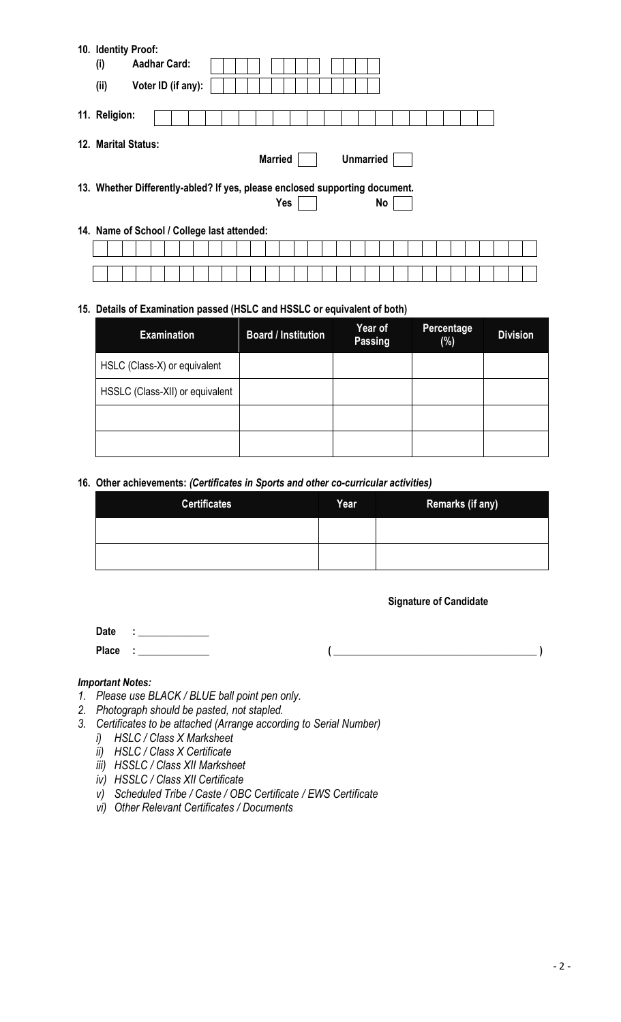| 10. Identity Proof:<br>(i)                                                  | <b>Aadhar Card:</b> |  |  |                |            |  |                  |    |  |  |  |  |
|-----------------------------------------------------------------------------|---------------------|--|--|----------------|------------|--|------------------|----|--|--|--|--|
| (ii)                                                                        | Voter ID (if any):  |  |  |                |            |  |                  |    |  |  |  |  |
| 11. Religion:                                                               |                     |  |  |                |            |  |                  |    |  |  |  |  |
| 12. Marital Status:                                                         |                     |  |  | <b>Married</b> |            |  | <b>Unmarried</b> |    |  |  |  |  |
| 13. Whether Differently-abled? If yes, please enclosed supporting document. |                     |  |  |                | <b>Yes</b> |  |                  | No |  |  |  |  |
| 14. Name of School / College last attended:                                 |                     |  |  |                |            |  |                  |    |  |  |  |  |
|                                                                             |                     |  |  |                |            |  |                  |    |  |  |  |  |
|                                                                             |                     |  |  |                |            |  |                  |    |  |  |  |  |

## **15. Details of Examination passed (HSLC and HSSLC or equivalent of both)**

| <b>Examination</b>              | <b>Board / Institution</b> | Year of<br>Passing | Percentage<br>$(\%)$ | <b>Division</b> |
|---------------------------------|----------------------------|--------------------|----------------------|-----------------|
| HSLC (Class-X) or equivalent    |                            |                    |                      |                 |
| HSSLC (Class-XII) or equivalent |                            |                    |                      |                 |
|                                 |                            |                    |                      |                 |
|                                 |                            |                    |                      |                 |

## **16. Other achievements:** *(Certificates in Sports and other co-curricular activities)*

| <b>Certificates</b> | Year | <b>Remarks (if any)</b> |
|---------------------|------|-------------------------|
|                     |      |                         |
|                     |      |                         |

#### **Signature of Candidate**

**Date : \_\_\_\_\_\_\_\_\_\_\_\_\_\_ Place : \_\_\_\_\_\_\_\_\_\_\_\_\_\_ ( \_\_\_\_\_\_\_\_\_\_\_\_\_\_\_\_\_\_\_\_\_\_\_\_\_\_\_\_\_\_\_\_\_\_\_\_\_\_\_\_ )**

#### *Important Notes:*

- *1. Please use BLACK / BLUE ball point pen only.*
- *2. Photograph should be pasted, not stapled.*
- *3. Certificates to be attached (Arrange according to Serial Number)*
	- *i) HSLC / Class X Marksheet*
	- *ii) HSLC / Class X Certificate*
	- *iii) HSSLC / Class XII Marksheet*
	- *iv) HSSLC / Class XII Certificate*
	- *v) Scheduled Tribe / Caste / OBC Certificate / EWS Certificate*
	- *vi) Other Relevant Certificates / Documents*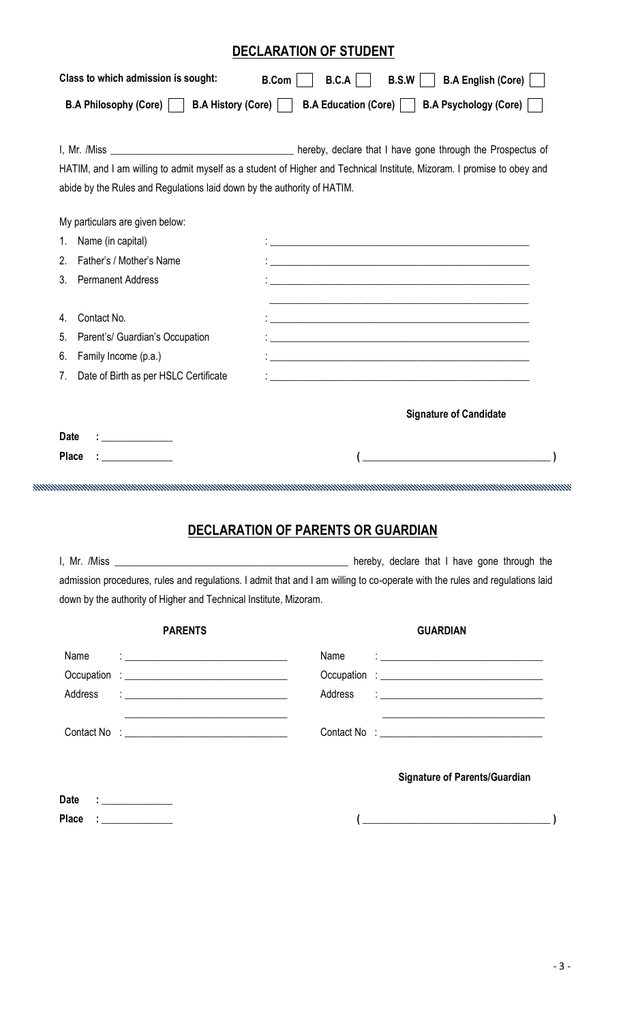# **DECLARATION OF STUDENT**

|                                                                                                                                  | B.A Philosophy (Core)     B.A History (Core)  <br>B.A Education (Core)    <br><b>B.A Psychology (Core)</b>                                                                                                                                |
|----------------------------------------------------------------------------------------------------------------------------------|-------------------------------------------------------------------------------------------------------------------------------------------------------------------------------------------------------------------------------------------|
|                                                                                                                                  |                                                                                                                                                                                                                                           |
|                                                                                                                                  | HATIM, and I am willing to admit myself as a student of Higher and Technical Institute, Mizoram. I promise to obey and                                                                                                                    |
| abide by the Rules and Regulations laid down by the authority of HATIM.                                                          |                                                                                                                                                                                                                                           |
| My particulars are given below:                                                                                                  |                                                                                                                                                                                                                                           |
| Name (in capital)<br>1.                                                                                                          | <u> 1989 - Johann Stoff, deutscher Stoff, der Stoff, der Stoff, der Stoff, der Stoff, der Stoff, der Stoff, der S</u>                                                                                                                     |
| Father's / Mother's Name<br>2.                                                                                                   |                                                                                                                                                                                                                                           |
| 3.<br><b>Permanent Address</b>                                                                                                   |                                                                                                                                                                                                                                           |
| Contact No.<br>4.                                                                                                                | <u> 1989 - Johann Barn, amerikansk politiker (d. 1989)</u>                                                                                                                                                                                |
| 5.<br>Parent's/ Guardian's Occupation                                                                                            | <u> 1989 - Johann Stein, marwolaethau a bhann an t-Amhair an t-Amhair an t-Amhair an t-Amhair an t-Amhair an t-A</u>                                                                                                                      |
| 6.<br>Family Income (p.a.)                                                                                                       | <u> 1989 - Johann Stoff, amerikansk politiker (* 1908)</u>                                                                                                                                                                                |
| 7.<br>Date of Birth as per HSLC Certificate                                                                                      | <u> 1989 - Johann Stoff, amerikansk politiker (* 1908)</u>                                                                                                                                                                                |
|                                                                                                                                  |                                                                                                                                                                                                                                           |
|                                                                                                                                  | <b>Signature of Candidate</b>                                                                                                                                                                                                             |
| <b>Date</b>                                                                                                                      |                                                                                                                                                                                                                                           |
| <b>Place</b>                                                                                                                     |                                                                                                                                                                                                                                           |
|                                                                                                                                  | A MARINA MARINA MARINA MARINA MARINA MARINA MARINA MARINA MARINA MARINA MARINA MARINA MARINA MARINA MARINA MAR                                                                                                                            |
|                                                                                                                                  |                                                                                                                                                                                                                                           |
|                                                                                                                                  | <b>DECLARATION OF PARENTS OR GUARDIAN</b>                                                                                                                                                                                                 |
|                                                                                                                                  |                                                                                                                                                                                                                                           |
|                                                                                                                                  | admission procedures, rules and regulations. I admit that and I am willing to co-operate with the rules and regulations laid                                                                                                              |
|                                                                                                                                  |                                                                                                                                                                                                                                           |
|                                                                                                                                  |                                                                                                                                                                                                                                           |
| down by the authority of Higher and Technical Institute, Mizoram.                                                                |                                                                                                                                                                                                                                           |
| <b>PARENTS</b>                                                                                                                   | <b>GUARDIAN</b>                                                                                                                                                                                                                           |
| Name<br><u> 1989 - Johann Barn, mars ann an t-Amhair ann an t-A</u>                                                              | Name<br>$\frac{1}{2}$ . The contract of the contract of the contract of the contract of the contract of the contract of the contract of the contract of the contract of the contract of the contract of the contract of the contract of t |
|                                                                                                                                  |                                                                                                                                                                                                                                           |
| Address<br><u> 1989 - Johann Harry Harry Harry Harry Harry Harry Harry Harry Harry Harry Harry Harry Harry Harry Harry Harry</u> | Address                                                                                                                                                                                                                                   |
| the control of the control of the control of the control of the control of the control of                                        | <u> 1989 - Johann Barn, fransk politik (d. 1989)</u>                                                                                                                                                                                      |

**Place : \_\_\_\_\_\_\_\_\_\_\_\_\_\_ ( \_\_\_\_\_\_\_\_\_\_\_\_\_\_\_\_\_\_\_\_\_\_\_\_\_\_\_\_\_\_\_\_\_\_\_\_\_ )**